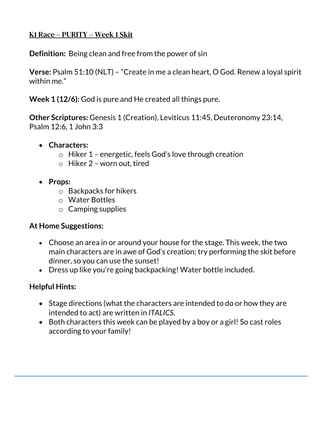## K1 Race – PURITY – Week 1 Skit

**Definition:** Being clean and free from the power of sin

**Verse:** Psalm 51:10 (NLT) – "Create in me a clean heart, O God. Renew a loyal spirit within me."

**Week 1 (12/6):** God is pure and He created all things pure.

**Other Scriptures:** Genesis 1 (Creation), Leviticus 11:45, Deuteronomy 23:14, Psalm 12:6, 1 John 3:3

- **Characters:** 
	- o Hiker 1 energetic, feels God's love through creation
	- o Hiker 2 worn out, tired
- **Props:**
	- o Backpacks for hikers
	- o Water Bottles
	- $\circ$  Camping supplies

## **At Home Suggestions:**

- Choose an area in or around your house for the stage. This week, the two main characters are in awe of God's creation; try performing the skit before dinner, so you can use the sunset!
- Dress up like you're going backpacking! Water bottle included.

# **Helpful Hints:**

- Stage directions (what the characters are intended to do or how they are intended to act) are written in *ITALICS*.
- Both characters this week can be played by a boy or a girl! So cast roles according to your family!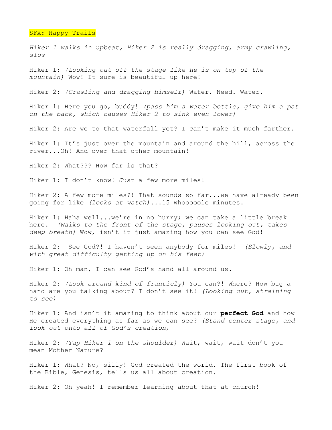## SFX: Happy Trails

*Hiker 1 walks in upbeat, Hiker 2 is really dragging, army crawling, slow* 

Hiker 1: *(Looking out off the stage like he is on top of the mountain)* Wow! It sure is beautiful up here!

Hiker 2: *(Crawling and dragging himself)* Water. Need. Water.

Hiker 1: Here you go, buddy! *(pass him a water bottle, give him a pat on the back, which causes Hiker 2 to sink even lower)*

Hiker 2: Are we to that waterfall yet? I can't make it much farther.

Hiker 1: It's just over the mountain and around the hill, across the river...Oh! And over that other mountain!

Hiker 2: What??? How far is that?

Hiker 1: I don't know! Just a few more miles!

Hiker 2: A few more miles?! That sounds so far...we have already been going for like *(looks at watch)*...15 whooooole minutes.

Hiker 1: Haha well...we're in no hurry; we can take a little break here. *(Walks to the front of the stage, pauses looking out, takes deep breath)* Wow, isn't it just amazing how you can see God!

Hiker 2: See God?! I haven't seen anybody for miles! *(Slowly, and with great difficulty getting up on his feet)*

Hiker 1: Oh man, I can see God's hand all around us.

Hiker 2: *(Look around kind of franticly)* You can?! Where? How big a hand are you talking about? I don't see it! *(Looking out, straining to see)*

Hiker 1: And isn't it amazing to think about our **perfect God** and how He created everything as far as we can see? *(Stand center stage, and look out onto all of God's creation)*

Hiker 2: *(Tap Hiker 1 on the shoulder)* Wait, wait, wait don't you mean Mother Nature?

Hiker 1: What? No, silly! God created the world. The first book of the Bible, Genesis, tells us all about creation.

Hiker 2: Oh yeah! I remember learning about that at church!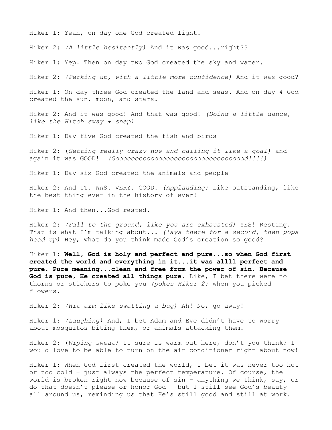Hiker 1: Yeah, on day one God created light.

Hiker 2: *(A little hesitantly)* And it was good...right??

Hiker 1: Yep. Then on day two God created the sky and water.

Hiker 2: *(Perking up, with a little more confidence)* And it was good?

Hiker 1: On day three God created the land and seas. And on day 4 God created the sun, moon, and stars.

Hiker 2: And it was good! And that was good! *(Doing a little dance, like the Hitch sway + snap)*

Hiker 1: Day five God created the fish and birds

Hiker 2: (*Getting really crazy now and calling it like a goal)* and again it was GOOD! *(Goooooooooooooooooooooooooooooooood!!!!)*

Hiker 1: Day six God created the animals and people

Hiker 2: And IT. WAS. VERY. GOOD. *(Applauding)* Like outstanding, like the best thing ever in the history of ever!

Hiker 1: And then...God rested.

Hiker 2: *(Fall to the ground, like you are exhausted)* YES! Resting. That is what I'm talking about... *(lays there for a second, then pops head up)* Hey, what do you think made God's creation so good?

Hiker 1: **Well, God is holy and perfect and pure...so when God first created the world and everything in it...it was allll perfect and pure. Pure meaning...clean and free from the power of sin. Because God is pure, He created all things pure.** Like, I bet there were no thorns or stickers to poke you *(pokes Hiker 2)* when you picked flowers.

Hiker 2: *(Hit arm like swatting a bug)* Ah! No, go away!

Hiker 1: *(Laughing)* And, I bet Adam and Eve didn't have to worry about mosquitos biting them, or animals attacking them.

Hiker 2: (*Wiping sweat)* It sure is warm out here, don't you think? I would love to be able to turn on the air conditioner right about now!

Hiker 1: When God first created the world, I bet it was never too hot or too cold – just always the perfect temperature. Of course, the world is broken right now because of sin – anything we think, say, or do that doesn't please or honor God – but I still see God's beauty all around us, reminding us that He's still good and still at work.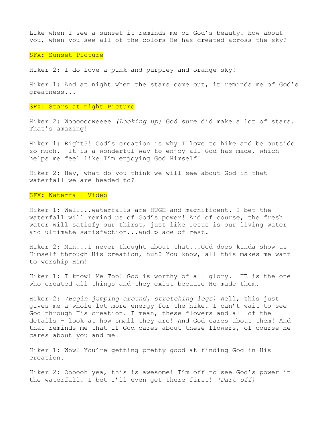Like when I see a sunset it reminds me of God's beauty. How about you, when you see all of the colors He has created across the sky?

### SFX: Sunset Picture

Hiker 2: I do love a pink and purpley and orange sky!

Hiker 1: And at night when the stars come out, it reminds me of God's greatness...

### SFX: Stars at night Picture

Hiker 2: Wooooooweeee *(Looking up)* God sure did make a lot of stars. That's amazing!

Hiker 1: Right?! God's creation is why I love to hike and be outside so much. It is a wonderful way to enjoy all God has made, which helps me feel like I'm enjoying God Himself!

Hiker 2: Hey, what do you think we will see about God in that waterfall we are headed to?

### SFX: Waterfall Video

Hiker 1: Well...waterfalls are HUGE and magnificent. I bet the waterfall will remind us of God's power! And of course, the fresh water will satisfy our thirst, just like Jesus is our living water and ultimate satisfaction...and place of rest.

Hiker 2: Man...I never thought about that...God does kinda show us Himself through His creation, huh? You know, all this makes me want to worship Him!

Hiker 1: I know! Me Too! God is worthy of all glory. HE is the one who created all things and they exist because He made them.

Hiker 2: *(Begin jumping around, stretching legs)* Well, this just gives me a whole lot more energy for the hike. I can't wait to see God through His creation. I mean, these flowers and all of the details – look at how small they are! And God cares about them! And that reminds me that if God cares about these flowers, of course He cares about you and me!

Hiker 1: Wow! You're getting pretty good at finding God in His creation.

Hiker 2: Oooooh yea, this is awesome! I'm off to see God's power in the waterfall. I bet I'll even get there first! *(Dart off)*